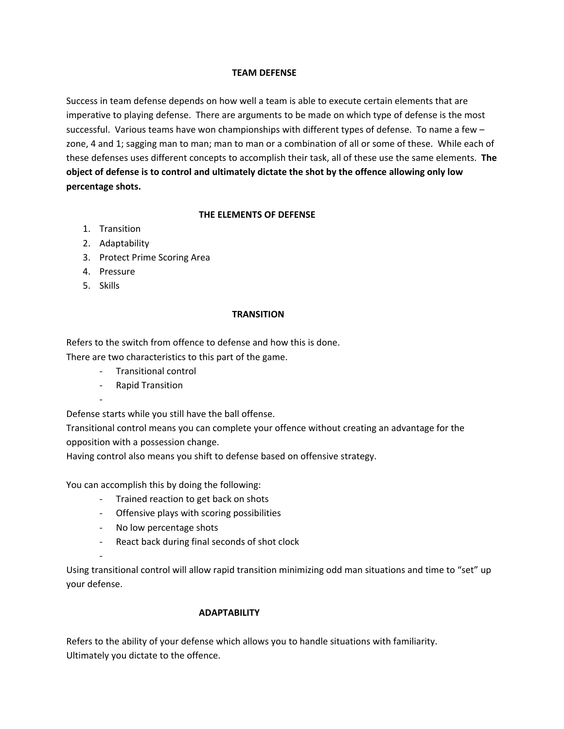## **TEAM DEFENSE**

Success in team defense depends on how well a team is able to execute certain elements that are imperative to playing defense. There are arguments to be made on which type of defense is the most successful. Various teams have won championships with different types of defense. To name a few – zone, 4 and 1; sagging man to man; man to man or a combination of all or some of these. While each of these defenses uses different concepts to accomplish their task, all of these use the same elements. **The object of defense is to control and ultimately dictate the shot by the offence allowing only low percentage shots.**

## **THE ELEMENTS OF DEFENSE**

- 1. Transition
- 2. Adaptability
- 3. Protect Prime Scoring Area
- 4. Pressure
- 5. Skills

## **TRANSITION**

Refers to the switch from offence to defense and how this is done.

There are two characteristics to this part of the game.

- ‐ Transitional control
- ‐ Rapid Transition

‐

‐

Defense starts while you still have the ball offense.

Transitional control means you can complete your offence without creating an advantage for the opposition with a possession change.

Having control also means you shift to defense based on offensive strategy.

You can accomplish this by doing the following:

- ‐ Trained reaction to get back on shots
- ‐ Offensive plays with scoring possibilities
- ‐ No low percentage shots
- ‐ React back during final seconds of shot clock

Using transitional control will allow rapid transition minimizing odd man situations and time to "set" up your defense.

# **ADAPTABILITY**

Refers to the ability of your defense which allows you to handle situations with familiarity. Ultimately you dictate to the offence.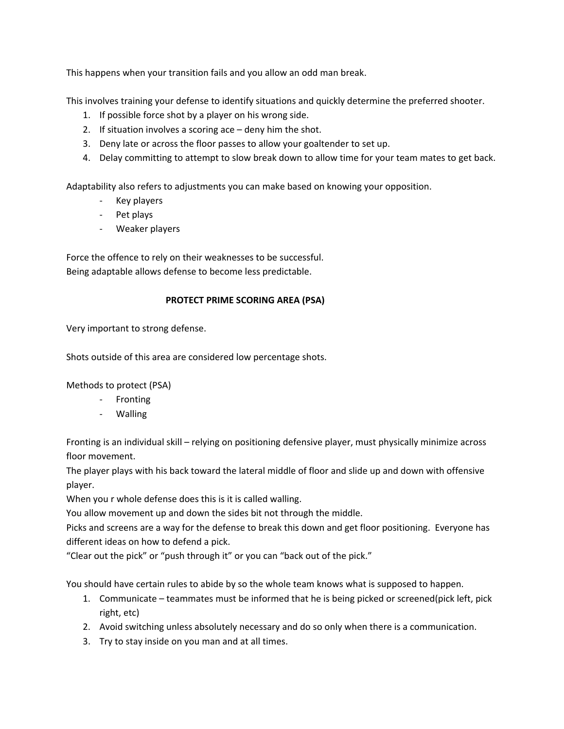This happens when your transition fails and you allow an odd man break.

This involves training your defense to identify situations and quickly determine the preferred shooter.

- 1. If possible force shot by a player on his wrong side.
- 2. If situation involves a scoring ace deny him the shot.
- 3. Deny late or across the floor passes to allow your goaltender to set up.
- 4. Delay committing to attempt to slow break down to allow time for your team mates to get back.

Adaptability also refers to adjustments you can make based on knowing your opposition.

- ‐ Key players
- ‐ Pet plays
- ‐ Weaker players

Force the offence to rely on their weaknesses to be successful. Being adaptable allows defense to become less predictable.

# **PROTECT PRIME SCORING AREA (PSA)**

Very important to strong defense.

Shots outside of this area are considered low percentage shots.

Methods to protect (PSA)

- ‐ Fronting
- ‐ Walling

Fronting is an individual skill – relying on positioning defensive player, must physically minimize across floor movement.

The player plays with his back toward the lateral middle of floor and slide up and down with offensive player.

When you r whole defense does this is it is called walling.

You allow movement up and down the sides bit not through the middle.

Picks and screens are a way for the defense to break this down and get floor positioning. Everyone has different ideas on how to defend a pick.

"Clear out the pick" or "push through it" or you can "back out of the pick."

You should have certain rules to abide by so the whole team knows what is supposed to happen.

- 1. Communicate teammates must be informed that he is being picked or screened(pick left, pick right, etc)
- 2. Avoid switching unless absolutely necessary and do so only when there is a communication.
- 3. Try to stay inside on you man and at all times.